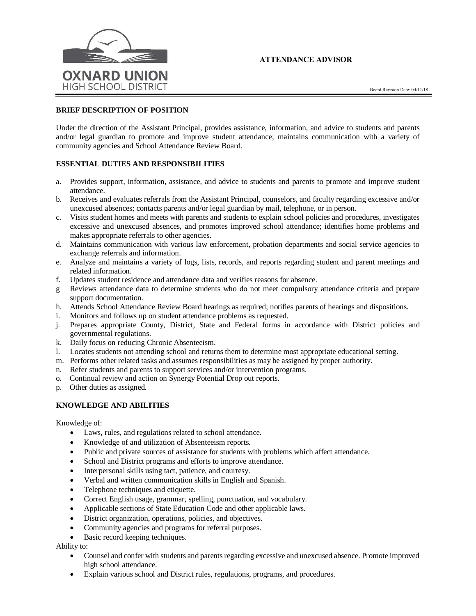



### **BRIEF DESCRIPTION OF POSITION**

Under the direction of the Assistant Principal, provides assistance, information, and advice to students and parents and/or legal guardian to promote and improve student attendance; maintains communication with a variety of community agencies and School Attendance Review Board.

## **ESSENTIAL DUTIES AND RESPONSIBILITIES**

- a. Provides support, information, assistance, and advice to students and parents to promote and improve student attendance.
- b. Receives and evaluates referrals from the Assistant Principal, counselors, and faculty regarding excessive and/or unexcused absences; contacts parents and/or legal guardian by mail, telephone, or in person.
- c. Visits student homes and meets with parents and students to explain school policies and procedures, investigates excessive and unexcused absences, and promotes improved school attendance; identifies home problems and makes appropriate referrals to other agencies.
- d. Maintains communication with various law enforcement, probation departments and social service agencies to exchange referrals and information.
- e. Analyze and maintains a variety of logs, lists, records, and reports regarding student and parent meetings and related information.
- f. Updates student residence and attendance data and verifies reasons for absence.
- g Reviews attendance data to determine students who do not meet compulsory attendance criteria and prepare support documentation.
- h. Attends School Attendance Review Board hearings as required; notifies parents of hearings and dispositions.
- i. Monitors and follows up on student attendance problems as requested.
- j. Prepares appropriate County, District, State and Federal forms in accordance with District policies and governmental regulations.
- k. Daily focus on reducing Chronic Absenteeism.
- l. Locates students not attending school and returns them to determine most appropriate educational setting.
- m. Performs other related tasks and assumes responsibilities as may be assigned by proper authority.
- n. Refer students and parents to support services and/or intervention programs.
- o. Continual review and action on Synergy Potential Drop out reports.
- p. Other duties as assigned.

## **KNOWLEDGE AND ABILITIES**

Knowledge of:

- Laws, rules, and regulations related to school attendance.
- Knowledge of and utilization of Absenteeism reports.
- Public and private sources of assistance for students with problems which affect attendance.
- School and District programs and efforts to improve attendance.
- Interpersonal skills using tact, patience, and courtesy.
- Verbal and written communication skills in English and Spanish.
- Telephone techniques and etiquette.
- Correct English usage, grammar, spelling, punctuation, and vocabulary.
- Applicable sections of State Education Code and other applicable laws.
- District organization, operations, policies, and objectives.
- Community agencies and programs for referral purposes.
- Basic record keeping techniques.

Ability to:

- Counsel and confer with students and parents regarding excessive and unexcused absence. Promote improved high school attendance.
- Explain various school and District rules, regulations, programs, and procedures.